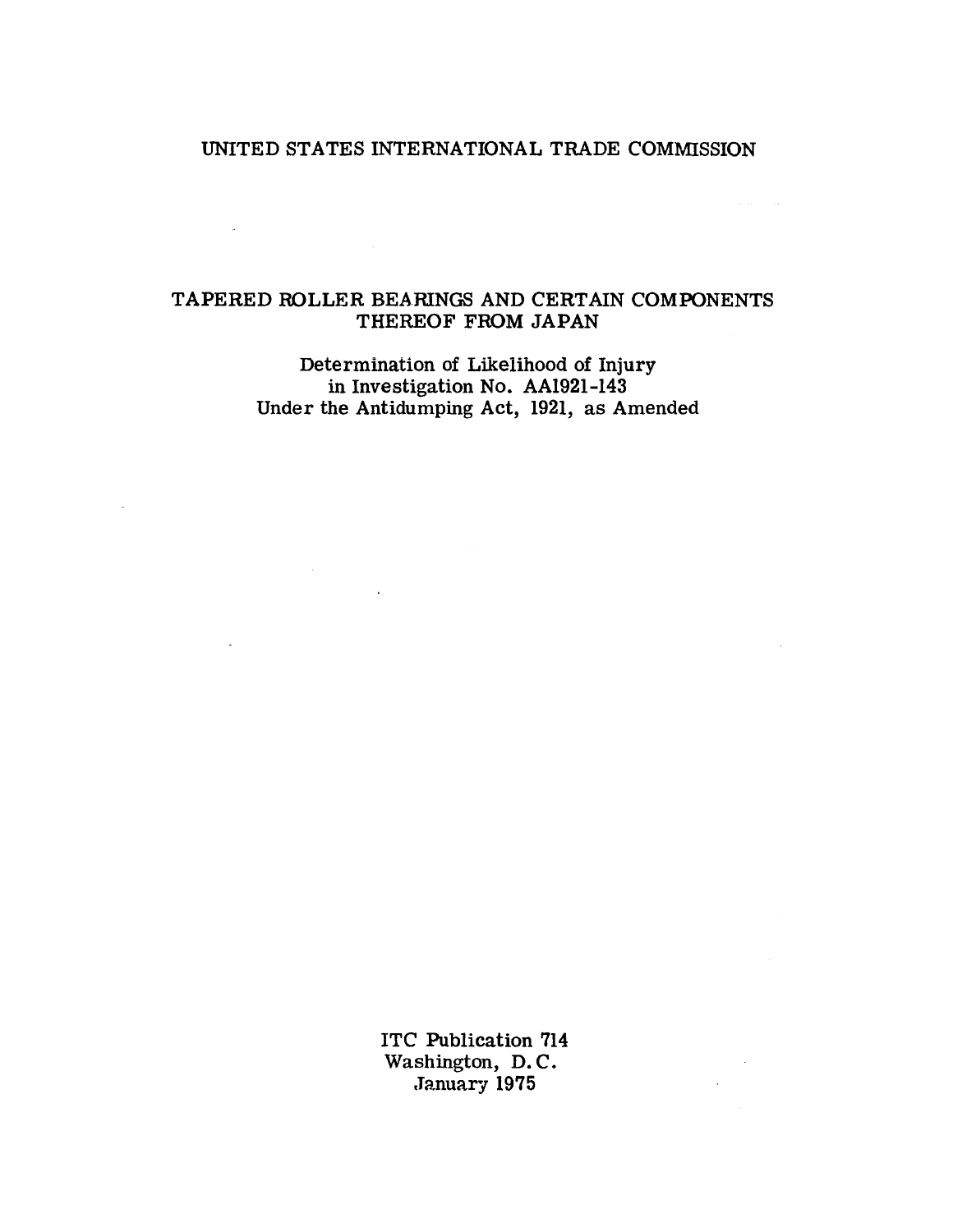# UNITED STATES INTERNATIONAL TRADE COMMISSION

# TAPERED ROLLER BEARINGS AND CERTAIN COMPONENTS THEREOF FROM JAPAN

 $\mathcal{L}^{\text{max}}_{\text{max}}$  and  $\mathcal{L}^{\text{max}}_{\text{max}}$ 

 $\sim 10^{-10}$ 

Determination of Likelihood of Injury in Investigation No. AA1921-143 Under the Antidumping Act, 1921, as Amended

 $\sim$   $\sim$ 

 $\mathbb{R}^2$ 

 $\sim 10^{-11}$ 

ITC Publication 714 Washington, D.C. January 1975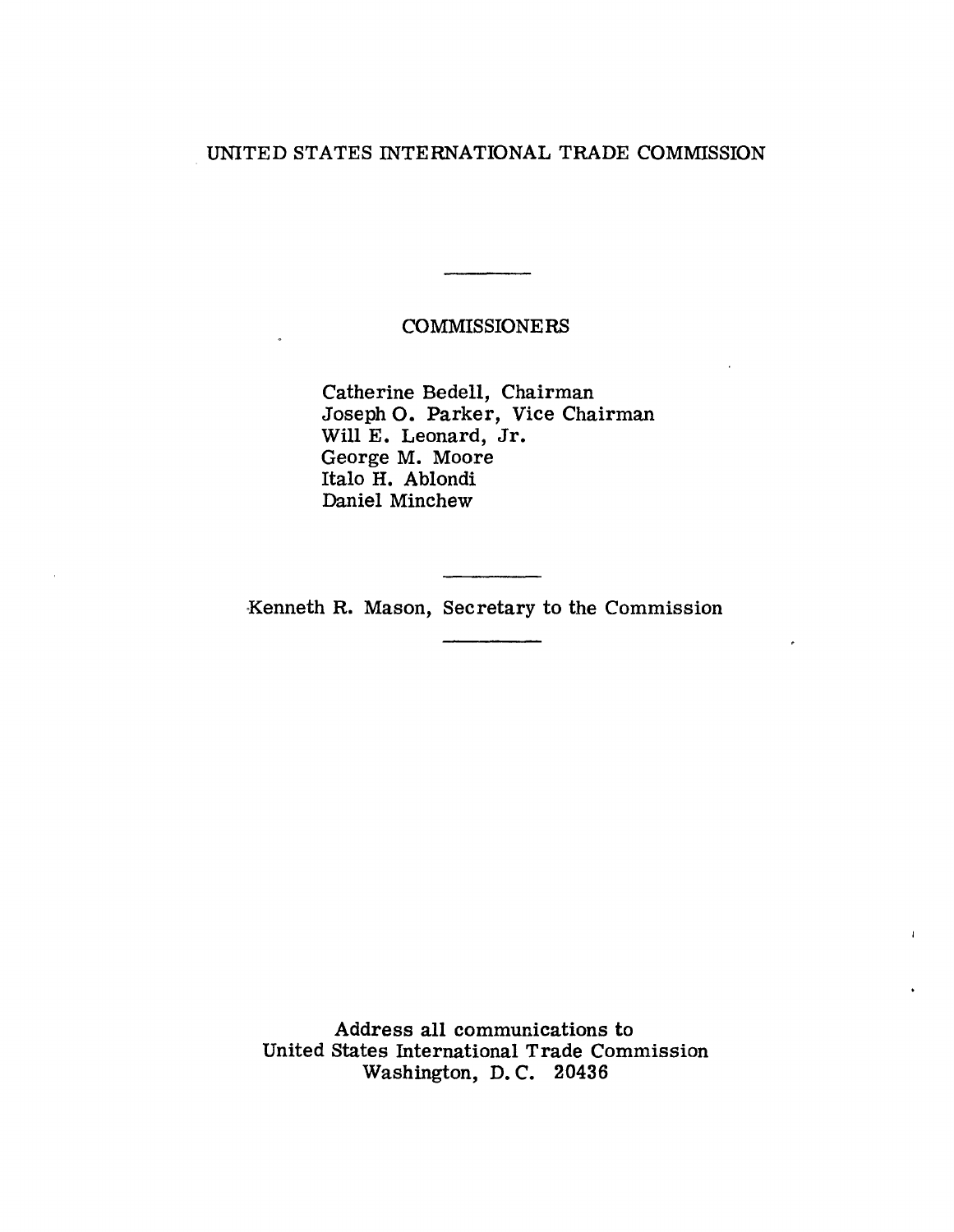# UNITED STATES INTERNATIONAL TRADE COMMISSION

## COMMISSIONERS

Catherine Bedell, Chairman Joseph 0. Parker, Vice Chairman Will E. Leonard, Jr. George M. Moore Italo H. Ablondi Daniel Minchew

Kenneth R. Mason, Secretary to the Commission

Address all communications to United States International Trade Commission Washington, D. C. 20436

Î.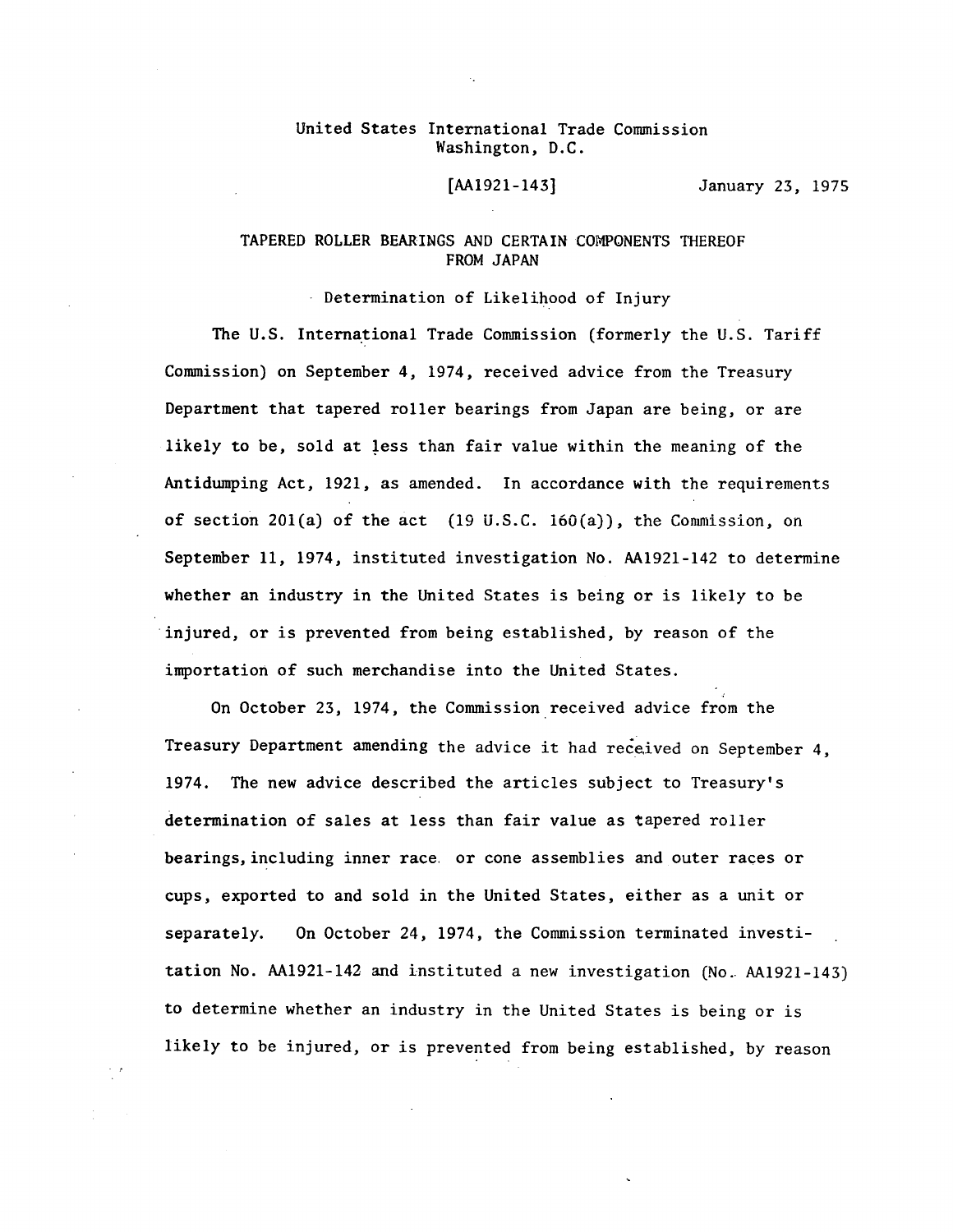#### United States International Trade Commission Washington, D.C.

[AA1921-143] January 23, 1975

### TAPERED ROLLER BEARINGS AND CERTAIN COMPONENTS THEREOF FROM JAPAN

Determination of Likelihood of Injury

The U.S. International Trade Commission (formerly the U.S. Tariff Commission) on September *4,* 1974, received advice from the Treasury Department that tapered roller bearings from Japan are being, or are likely to be, sold at less than fair value within the meaning of the Antidwnping Act, 1921, as amended. In accordance with the requirements of section 201(a) of the act  $(19 \text{ U.S.C. } 160(a))$ , the Commission, on September 11, 1974, instituted investigation No. AA1921-142 to determine whether an industry in the United States is being or is likely to be injured, or is prevented from being established, by reason of the importation of such merchandise into the United States.

On October 23, 1974, the Commission received advice from the Treasury Department amending the advice it had received on September *4,*  1974. The new advice described the articles subject to Treasury's determination of sales at less than fair value as tapered roller bearings, including inner race. or cone assemblies and outer races or cups, exported to and sold in the United States, either as a unit or separately. On October *24,* 1974, the Commission terminated investitation No. AA1921-142 and instituted a new investigation (No .. AA1921-143) to determine whether an industry in the United States is being or is likely to be injured, or is prevented from being established, by reason

rije.<br>G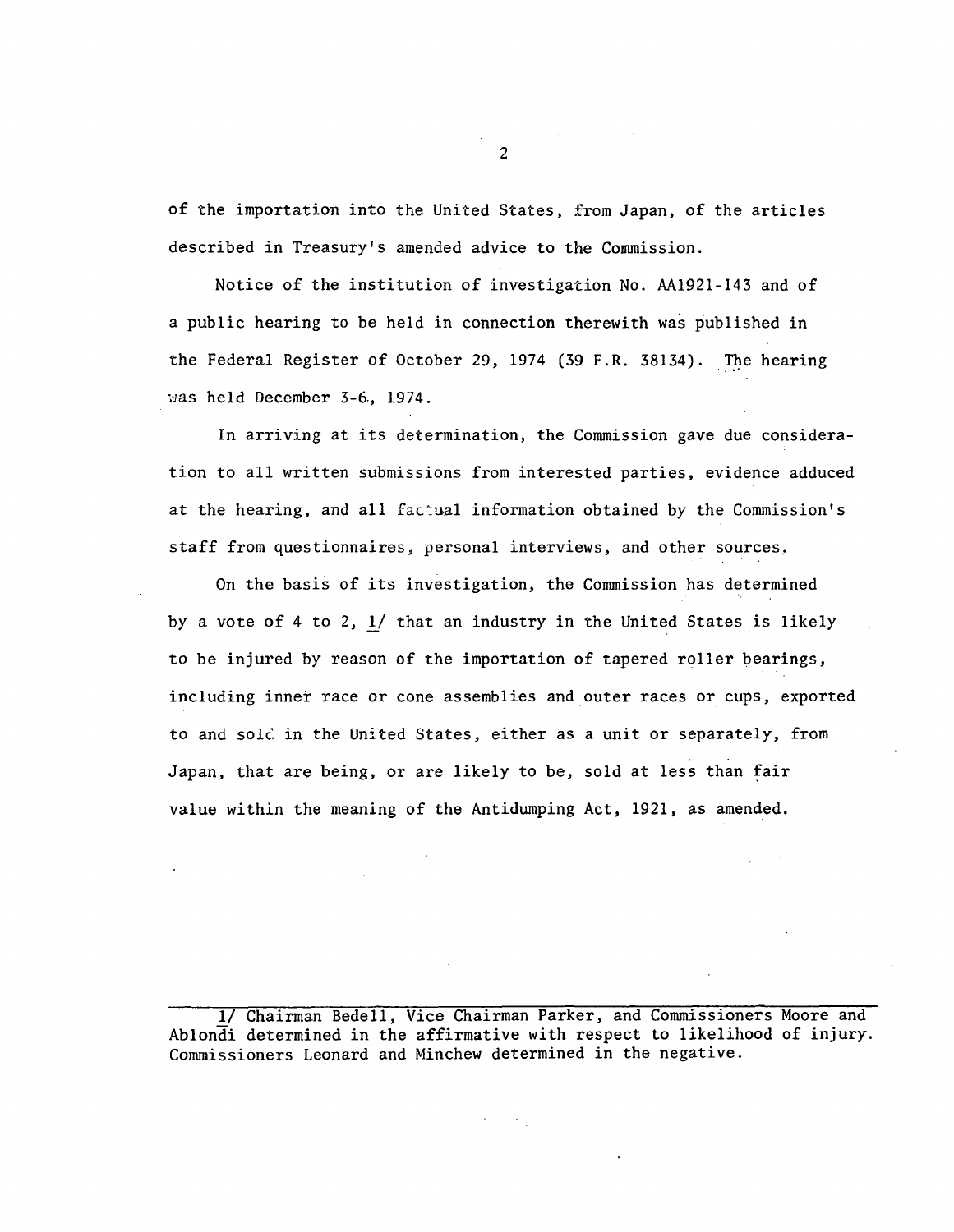of the importation into the United States, from Japan, of the articles described in Treasury's amended advice to the Commission.

Notice of the institution of investigation No. AA1921-143 and of a public hearing to be held in connection therewith was published in the Federal Register of October 29, 1974 (39 F.R. 38134). The hearing was held December 3-6, 1974.

In arriving at its determination, the Commission gave due consideration to all written submissions from interested parties, evidence adduced at the hearing, and all factual information obtained by the Commission's staff from questionnaires, personal interviews, and other sources,

On the basis of its investigation, the Commission has determined by a vote of 4 to 2, 1/ that an industry in the United States is likely to be injured by reason of the importation of tapered roller bearings, including inner race or cone assemblies and outer races or cups, exported to and sold in the United States, either as a unit or separately, from Japan, that are being, or are likely to be, sold at less than fair value within the meaning of the Antidumping Act, 1921, as amended.

<sup>1/</sup> Chairman Bedell, Vice Chairman Parker, and Commissioners Moore and Ablondi determined in the affirmative with respect to likelihood of injury. Commissioners Leonard and Minchew determined in the negative.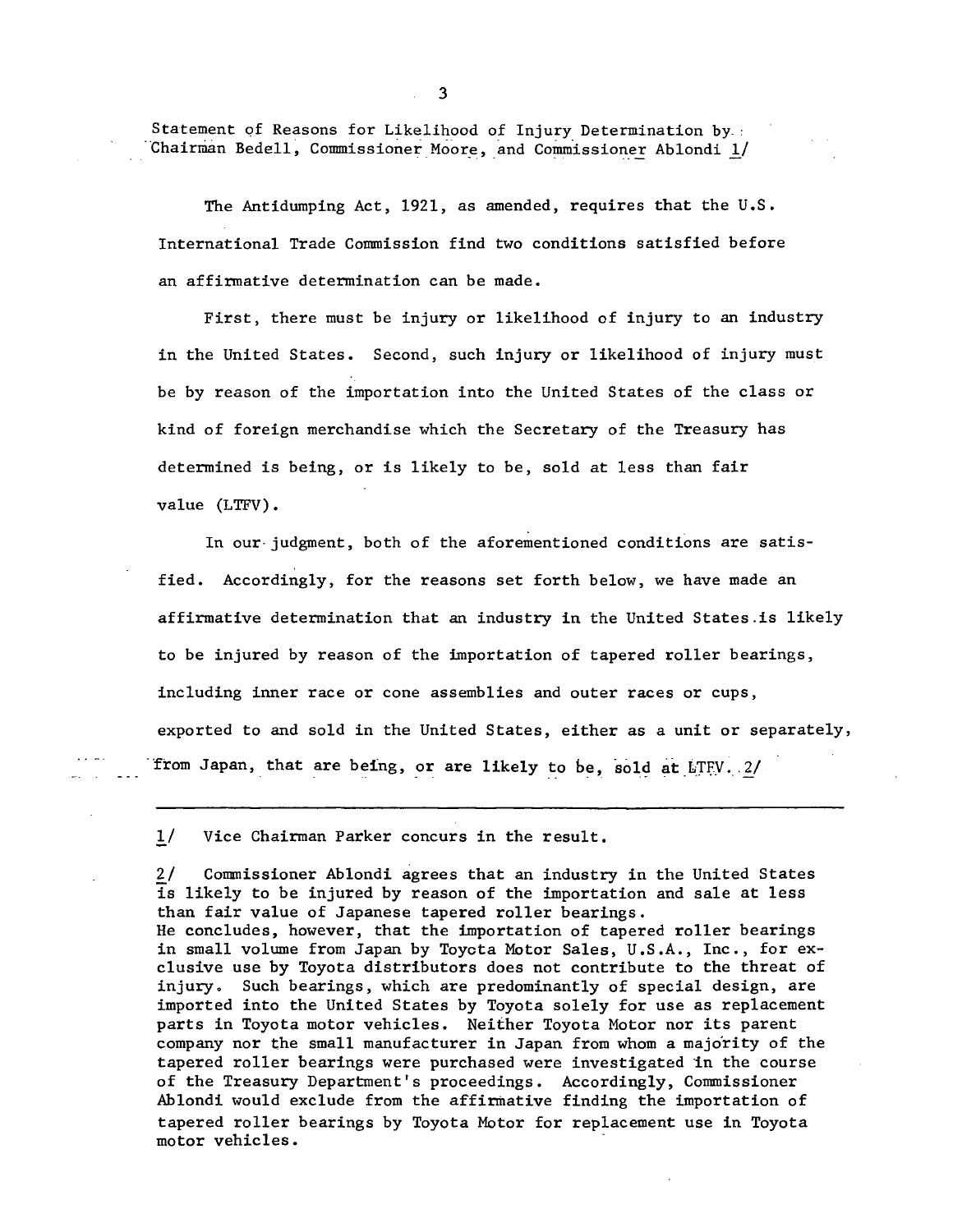Statement of Reasons for Likelihood of Injury Determination by. Chairman Bedell, Commissioner Moore, and Commissioner Ablondi  $1/$ 

The Antidumping Act, 1921, as amended, requires that the U.S. International Trade Commission find two conditions satisfied before an affirmative determination can be made.

First, there must be injury or likelihood of injury to an industry in the United States. Second, such injury or likelihood of injury must be by reason of the importation into the United States of the class or kind of foreign merchandise which the Secretary of the Treasury has determined is being, or is likely to be, sold at less than fair value (LTFV).

In our-judgment, both of the aforementioned conditions are satisfied. Accordingly, for the reasons set forth below, we have made an affirmative determination that an industry in the United States.is likely to be injured by reason of the importation of tapered roller bearings, including inner race or cone assemblies and outer races or cups, exported to and sold in the United States, either as a unit or separately, from Japan, that are being, or are likely to be, sold at LTFV. 2/

!/ Vice Chairman Parker concurs in the result.

2/ Connnissioner Ablondi agrees that an industry in the United States is likely to be injured by reason of the importation and sale at less than fair value of Japanese tapered roller bearings. He concludes, however, that the importation of tapered roller bearings in small volume from Japan by Toycta Motor Sales, U.S.A., Inc., for exclusive use by Toyota distributors does not contribute to the threat of injury. Such bearings, which are predominantly of special design, are imported into the United States by Toyota solely for use as replacement parts in Toyota motor vehicles. Neither Toyota Motor nor its parent company nor the small manufacturer in Japan from whom a majo'rity of the tapered roller bearings were purchased were investigated in the course of the Treasury Department's proceedings. Accordingly, Commissioner Ablondi would exclude from the affirmative finding the importation of tapered roller bearings by Toyota Motor for replacement use in Toyota motor vehicles.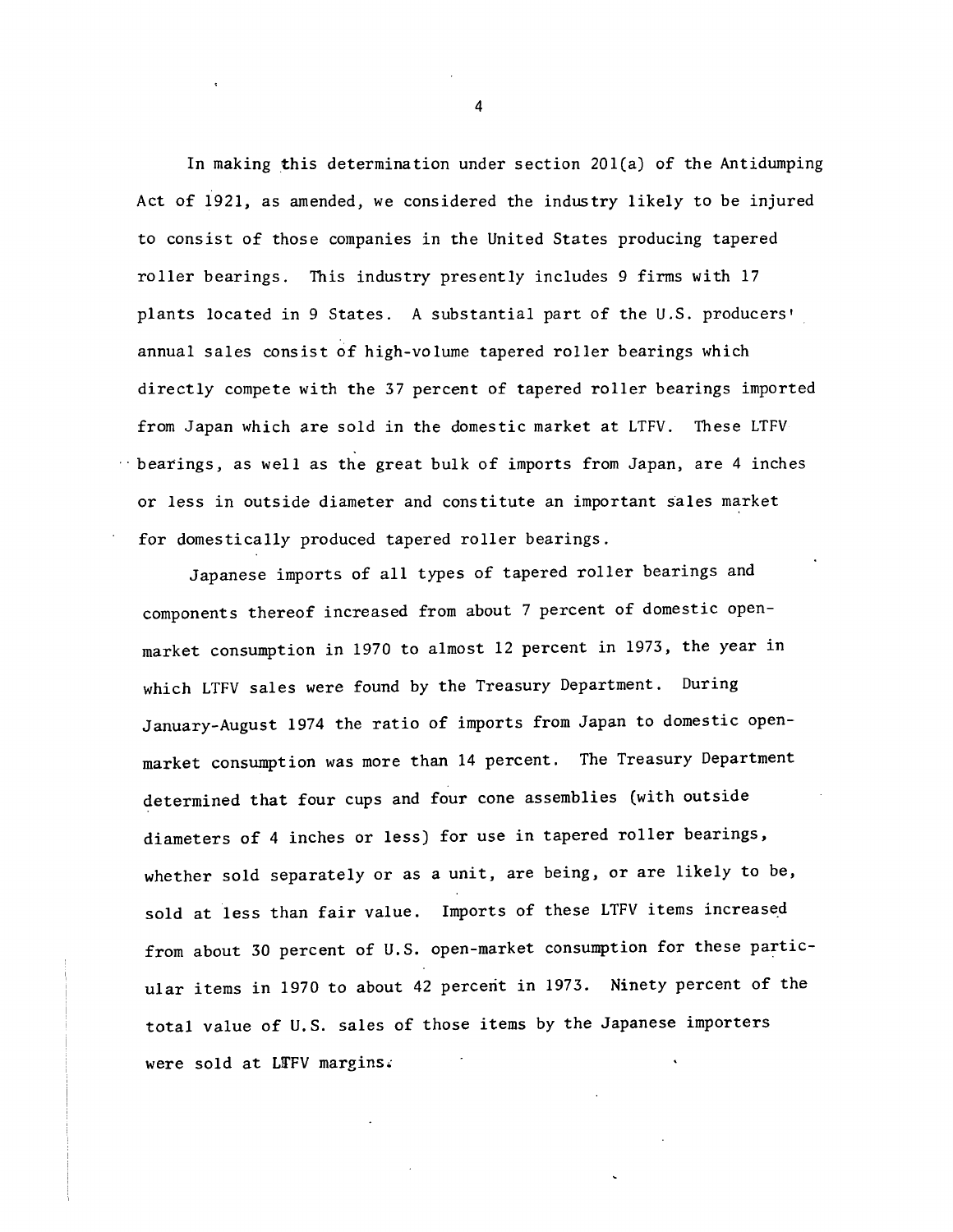In making this determination under section  $201(a)$  of the Antidumping Act of 1921, as amended, we considered the industry likely to be injured to consist of those companies in the United States producing tapered roller bearings. This industry presently includes 9 firms with 17 plants located in 9 States. A substantial part of the U.S. producers• annual sales consist of high-volume tapered roller bearings which directly compete with the 37 percent of tapered roller bearings imported from Japan which are sold in the domestic market at LTFV. These LTFV bearings, as well as the great bulk of imports from Japan, are 4 inches or less in outside diameter and constitute an important sales market for domestically produced tapered roller bearings.

Japanese imports of all types of tapered roller bearings and components thereof increased from about 7 percent of domestic openmarket consumption in 1970 to almost 12 percent in 1973, the year in which LTFV sales were found by the Treasury Department. During January-August 1974 the ratio of imports from Japan to domestic openmarket consumption was more than 14 percent. The Treasury Department determined that four cups and four cone assemblies (with outside diameters of 4 inches or less) for use in tapered roller bearings, whether sold separately or as a unit, are being, or are likely to be, sold at less than fair value. Imports of these LTFV items increased from about 30 percent of U.S. open-market consumption for these particular items in 1970 to about 42 percent in 1973. Ninety percent of the total value of U.S. sales of those items by the Japanese importers were sold at LTFV margins.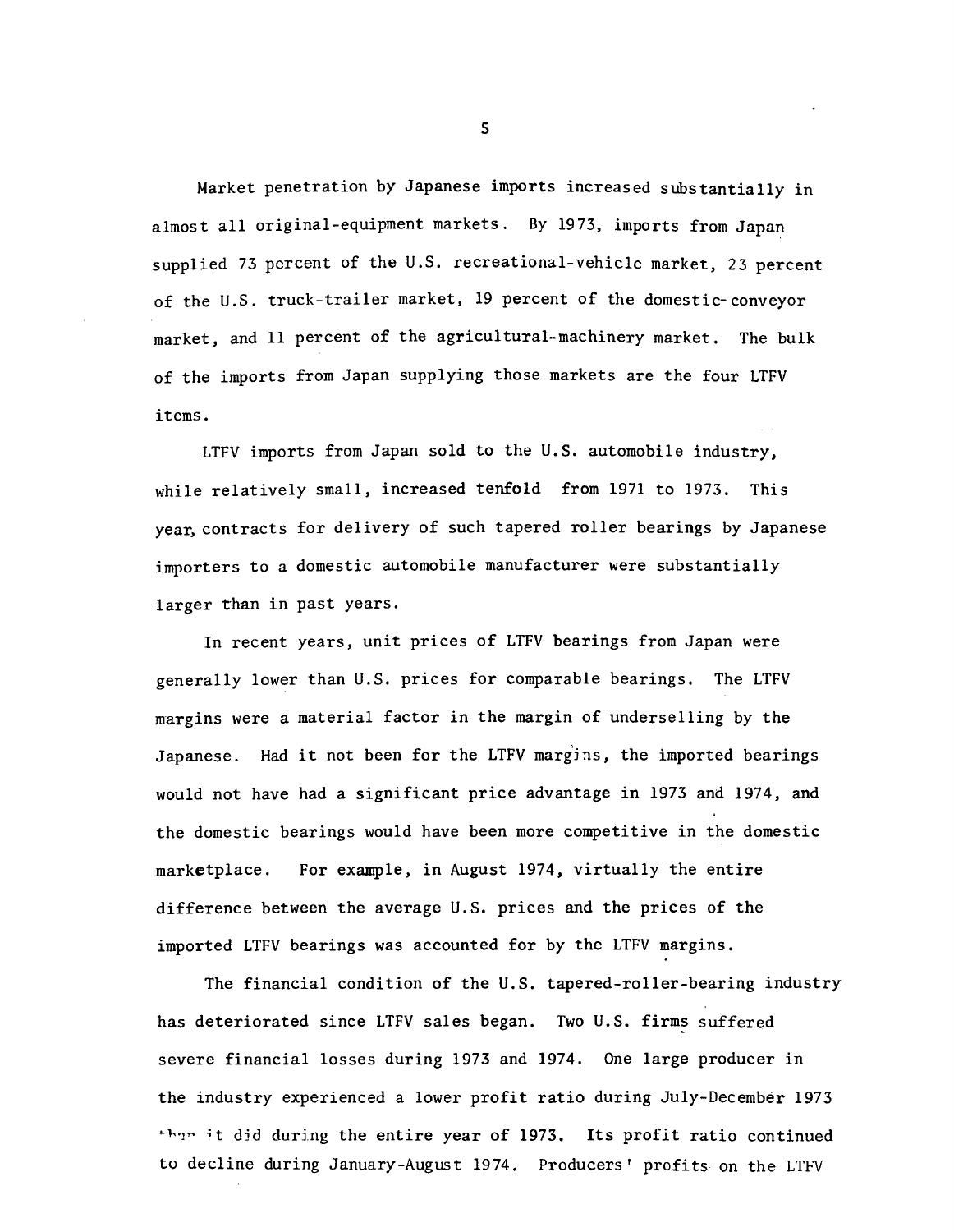Market penetration by Japanese imports increased substantially in almost all original-equipment markets. By 1973, imports from Japan supplied 73 percent of the U.S. recreational-vehicle market, 23 percent of the U.S. truck-trailer market, 19 percent of the domestic-conveyor market, and 11 percent of the agricultural-machinery market. The bulk of the imports from Japan supplying those markets are the four LTFV items.

LTFV imports from Japan sold to the U.S. automobile industry, while relatively small, increased tenfold from 1971 to 1973. This year, contracts for delivery of such tapered roller bearings by Japanese importers to a domestic automobile manufacturer were substantially larger than in past years.

In recent years, unit prices of LTFV bearings from Japan were generally lower than U.S. prices for comparable bearings. The LTFV margins were a material factor in the margin of underselling by the Japanese. Had it not been for the LTFV margins, the imported bearings would not have had a significant price advantage in 1973 and 1974, and the domestic bearings would have been more competitive in the domestic marketplace. For example, in August 1974, virtually the entire difference between the average U.S. prices and the prices of the imported LTFV bearings was accounted for by the LTFV margins.

The financial condition of the U.S. tapered-roller-bearing industry has deteriorated since LTFV sales began. Two U.S. firms suffered severe financial losses during 1973 and 1974. One large producer in the industry experienced a lower profit ratio during July-December 1973 ~h1~ ;t djd during the entire year of 1973. Its profit ratio continued to decline during January-August 1974. Producers' profits on the LTFV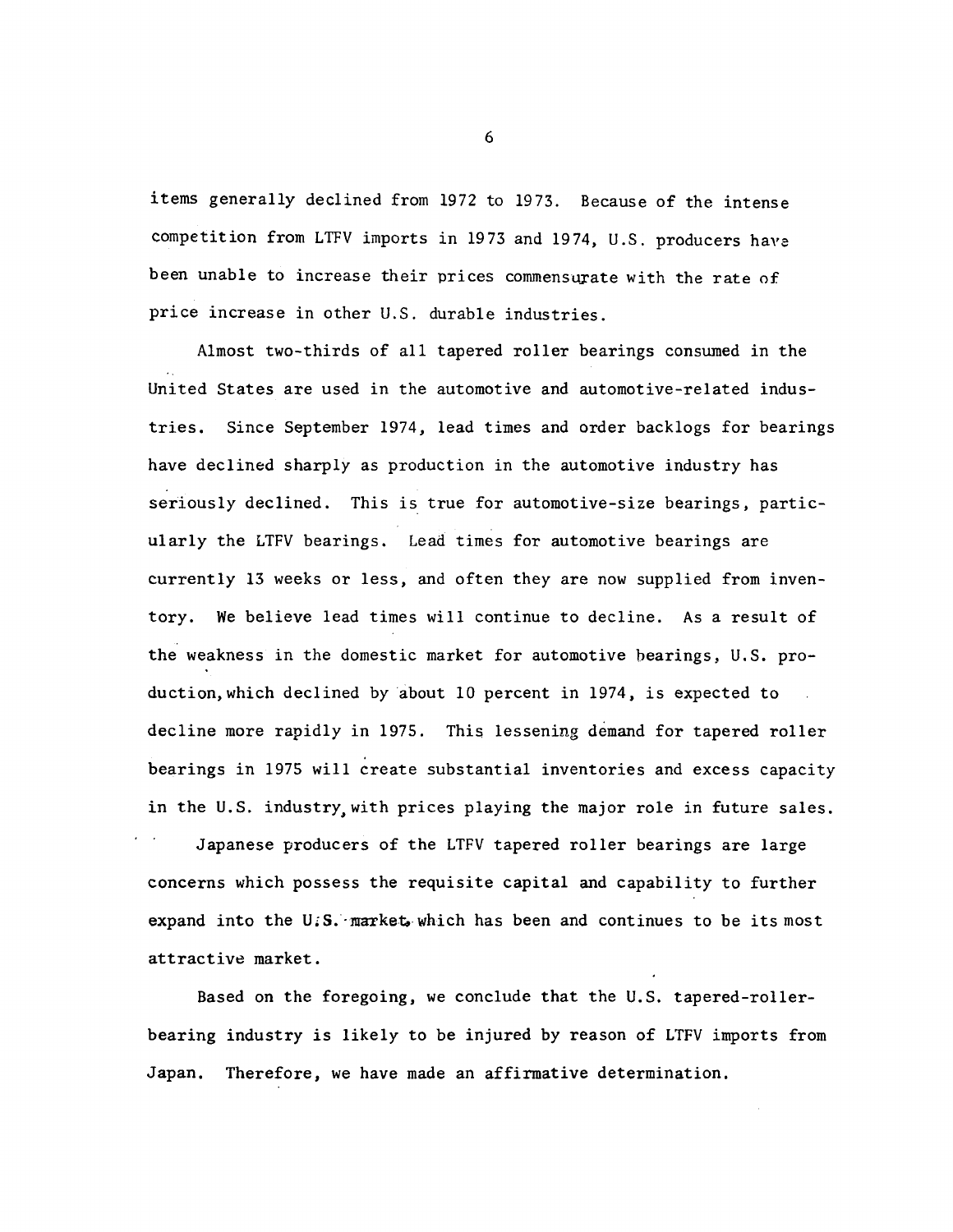items generally declined from 1972 to 1973. Because of the intense competition from LTFV imports in 1973 and 1974, U.S. producers hava been unable to increase their prices commensurate with the rate of price increase in other U.S. durable industries.

Almost two-thirds of all tapered roller bearings consumed in the United States are used in the automotive and automotive-related industries. Since September 1974, lead times and order backlogs for bearings have declined sharply as production in the automotive industry has seriously declined. This is true for automotive-size bearings, particularly the LTFV bearings. Lead times for automotive bearings are currently 13 weeks or less, and often they are now supplied from inventory. We believe lead times will continue to decline. As a result of the weakness in the domestic market for automotive bearings, U.S. production, which declined by about 10 percent in 1974, is expected to decline more rapidly in 1975. This lessening demand for tapered roller bearings in 1975 will create substantial inventories and excess capacity in the U.S. industry, with prices playing the major role in future sales.

Japanese producers of the LTFV tapered roller bearings are large concerns which possess the requisite capital and capability to further expand into the U.S. market which has been and continues to be its most attractive market.

Based on the foregoing, we conclude that the U.S. tapered-rollerbearing industry is likely to be injured by reason of LTFV imports from Japan. Therefore, we have made an affirmative determination.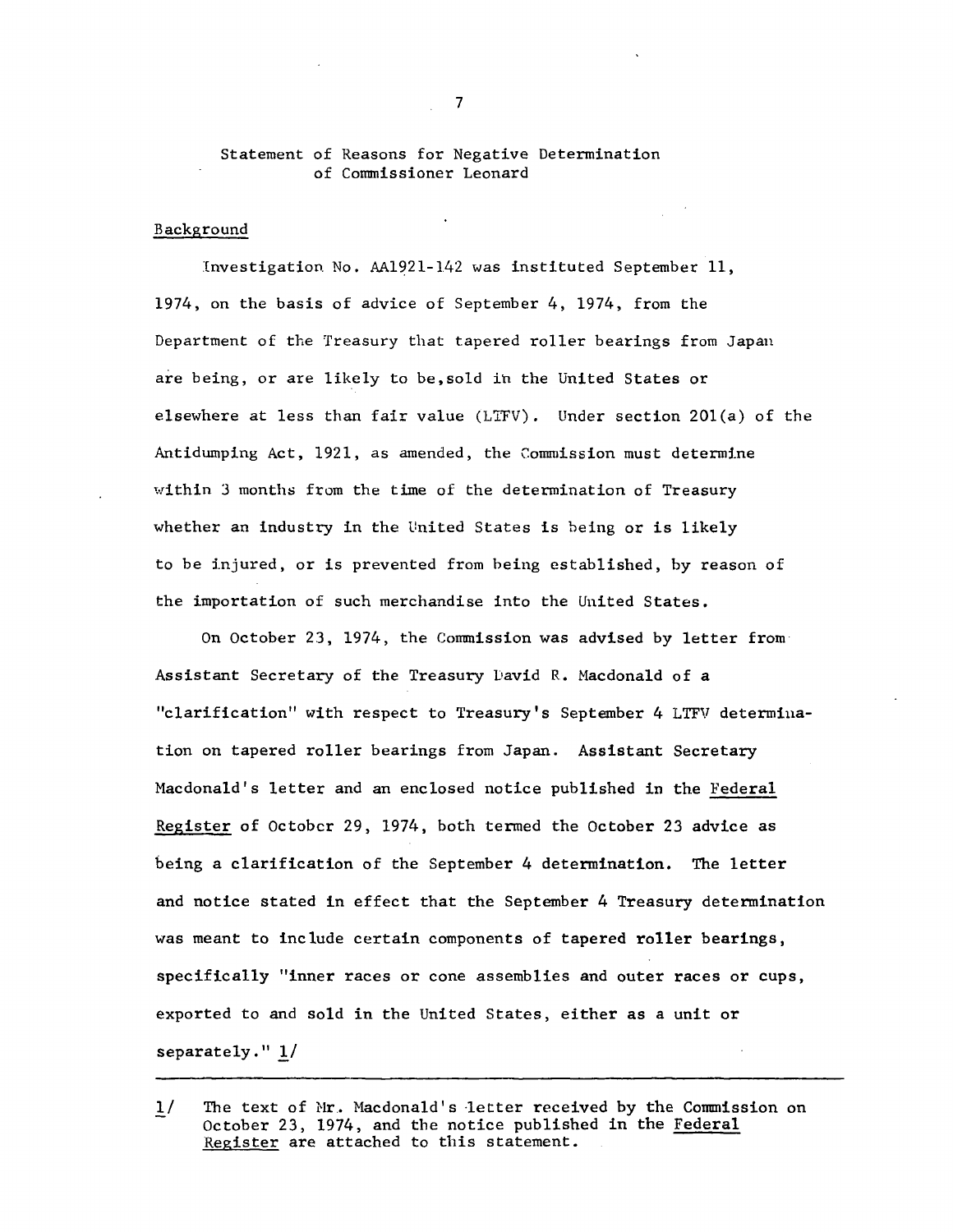#### Statement of Reasons for Negative Determination of Commissioner Leonard

#### Background

Investigation No. AA1921-142 was instituted September 11, 1974, on the basis of advice of September 4, 1974, from the Department of the Treasury that tapered roller bearings from Japan are being, or are likely to be,sold ih the United States or elsewhere at less than fair value (LTFV). Under section 20l(a) of the Antidumping Act, 1921, as amended, the Commission must determine within 3 months from the time of the determination of Treasury whether an industry in the United States is being or is likely to be lnjured, or is prevented from being established, by reason of the importation of such merchandise into the United States.

On October 23, 1974, the Commission was advised by letter from Assistant Secretary of the Treasury David R. Macdonald of a "clarification" with respect to Treasury's September 4 LTFV determiuation on tapered roller bearings from Japan. Assistant Secretary Macdonald's letter and an enclosed notice published in the Federal Register of October 29, 1974, both termed the October 23 advice as being a clarification of the September 4 determination. The letter and notice stated in effect that the September 4 Treasury determination was meant to include certain components of tapered roller bearings, specifically "inner races or cone assemblies and outer races or cups, exported to and sold in the United States, either as a unit or separately." *1./* 

The text of Mr. Macdonald's letter received by the Commission on  $1/$ October 23, 1974, and the notice published in the Federal Register are attached to this statement.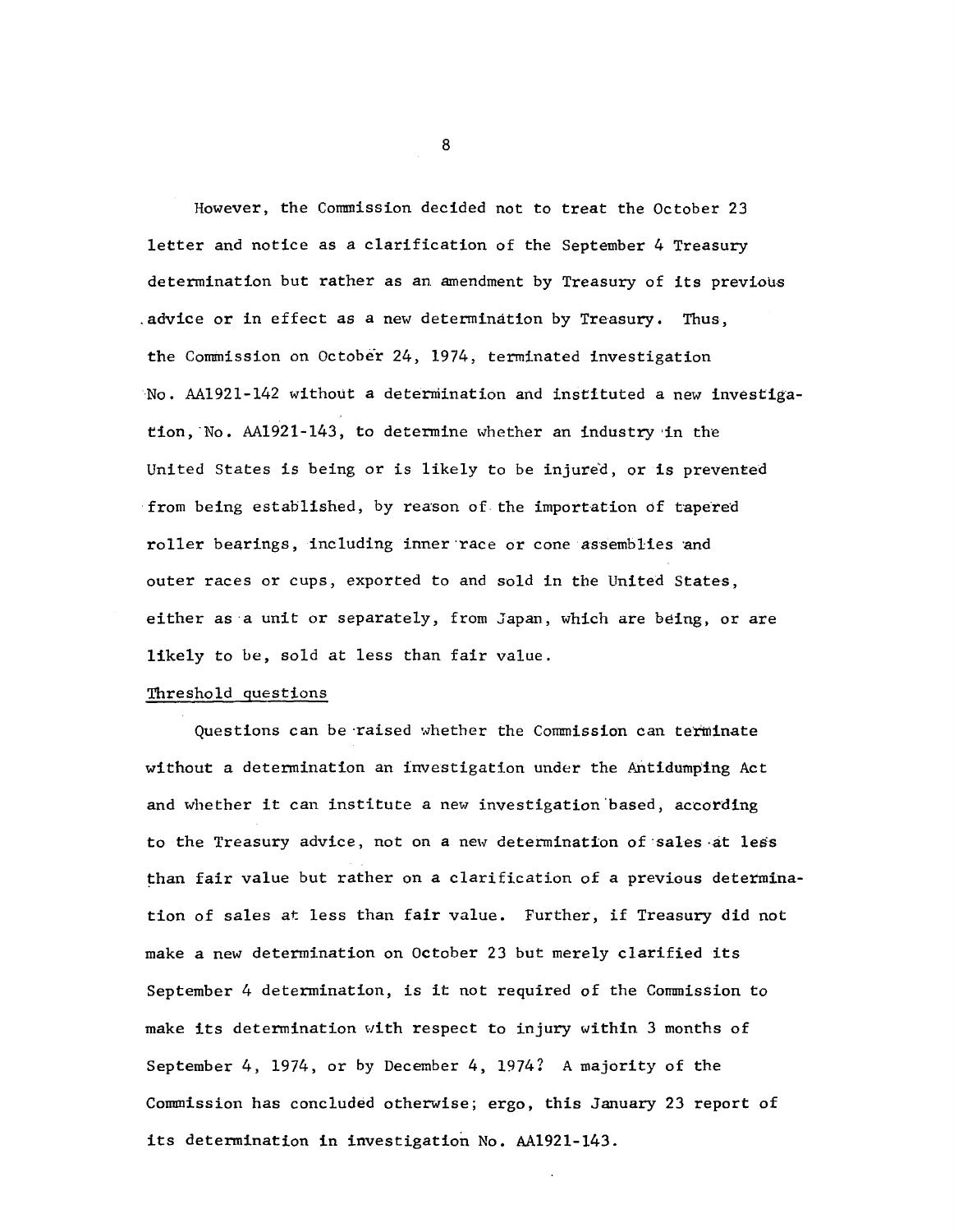However, the Connnission decided not to treat the October 23 letter and notice as a clarification of the September 4 Treasury determination but rather as an amendment by Treasury of its previous .advice or in effect as a new determination by Treasury. Thus, the Commission on October 24, 1974, terminated investigation No. AA1921-142 without a determination and instituted a new investigation, No.  $AA1921-143$ , to determine whether an industry in the United States is being or is likely to be injured, or is prevented from being established, by reason of. the importation of tapered roller bearings, including inner race or cone assemblies and outer races or cups, exported to and sold in the United States, either as a unit or separately, from Japan, which are being, or are likely to be, sold at less than fair value.

#### Threshold questions

Questions can be raised whether the Commission can terminate without a determination an investigation under the Antidumping Act and whether it can institute a new investigation based, according to the Treasury advice, not on a new determination of·sales ·at less than fair value but rather on a clarification of a previous determination of sales at less than fair value. Further, if Treasury did not make a new determination on October 23 but merely clarified its September 4 determination, is it not required of the Commission to make its detennination with respect to injury within 3 months of September 4, 1974, or by December 4, 1974? A majority of the Commission has concluded otherwise; ergo, this January 23 report of its detennination in investigation No. AA1921-143.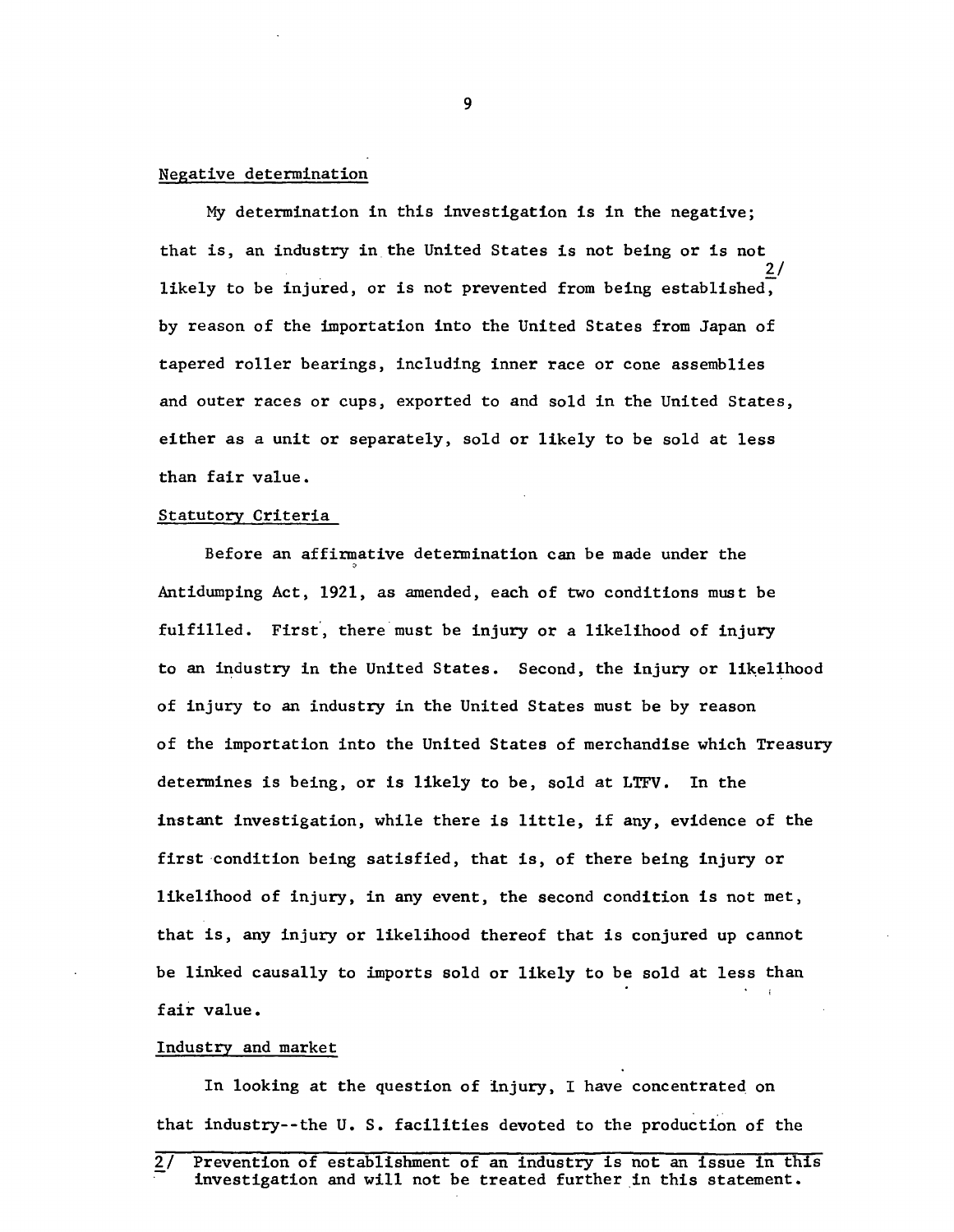#### Negative determination

My determination in this investigation is in the negative; that is, an industry in the United States is not being or is not likely to be injured, or is not prevented from being established, by reason of the importation into the United States from Japan of tapered roller bearings, including inner race or cone assemblies and outer races or cups, exported to and sold in the United States, either as a unit or separately, sold or likely to be sold at less than fair value.

#### Statutory Criteria

Before an affirmative determination can be made under the Antidumping Act, 1921, as amended, each of two conditions must be fulfilled. First, there must be injury or a likelihood of injury to an industry in the United States. Second, the injury or likelihood of injury to an industry in the United States must be by reason of the importation into the United States of merchandise which Treasury determines is being, or is likely to be, sold at LTFV. In the instant investigation, while there is little, if any, evidence of the first condition being satisfied, that is, of there being injury or likelihood of injury, in any event, the second condition is not met, that is, any injury or likelihood thereof that is conjured up cannot be linked causally to imports sold or likely to be sold at less than fair value.

#### Industry and market

In looking at the question of injury, I have concentrated on that industry--the U. S. facilities devoted to the production of the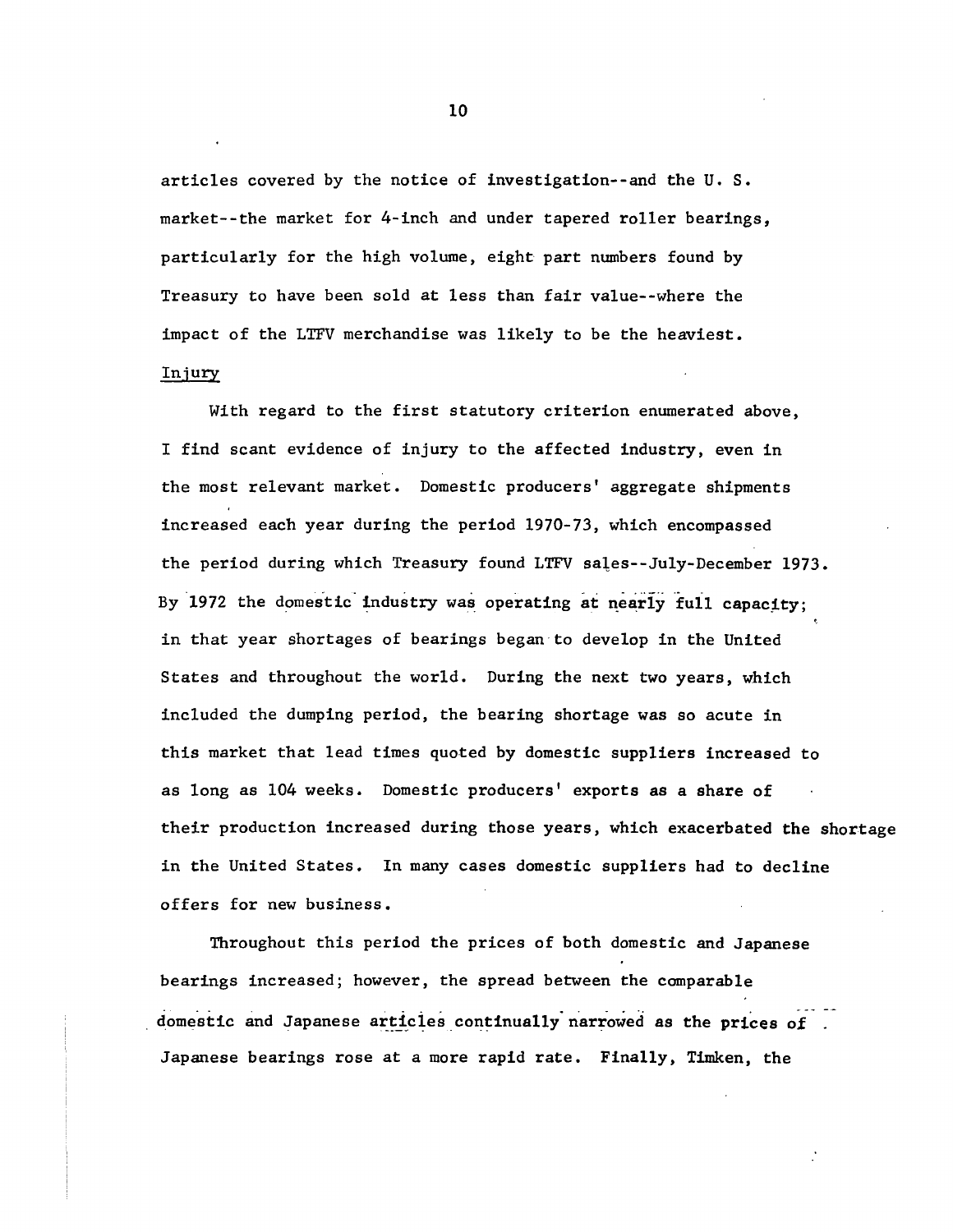articles covered by the notice of investigation--and the U. S. market--the market for 4-inch and under tapered roller bearings, particularly for the high volume, eight part numbers found by Treasury to have been sold at less than fair value--where the impact of the LTFV merchandise was likely to be the heaviest.

#### Injury

With regard to the first statutory criterion enumerated above, I find scant evidence of injury to the affected industry, even in the most relevant market. Domestic producers' aggregate shipments increased each year during the period 1970-73, which encompassed the period during which Treasury found LTFV sales--July-December 1973. By 1972 the domestic industry was operating at nearly full capacity; in that year shortages of bearings began to develop in the United States and throughout the world. During the next two years, which included the dumping period, the bearing shortage was so acute in this market that lead times quoted by domestic suppliers increased to as long as 104 weeks. Domestic producers' exports as a share of their production increased during those years, which exacerbated the shortage in the United States. In many cases domestic suppliers had to decline offers for new business.

Throughout this period the prices of both domestic and Japanese bearings increased; however, the spread between the comparable domestic and Japanese articles continually narrowed as the prices of Japanese bearings rose at a more rapid rate. Finally, Timken, the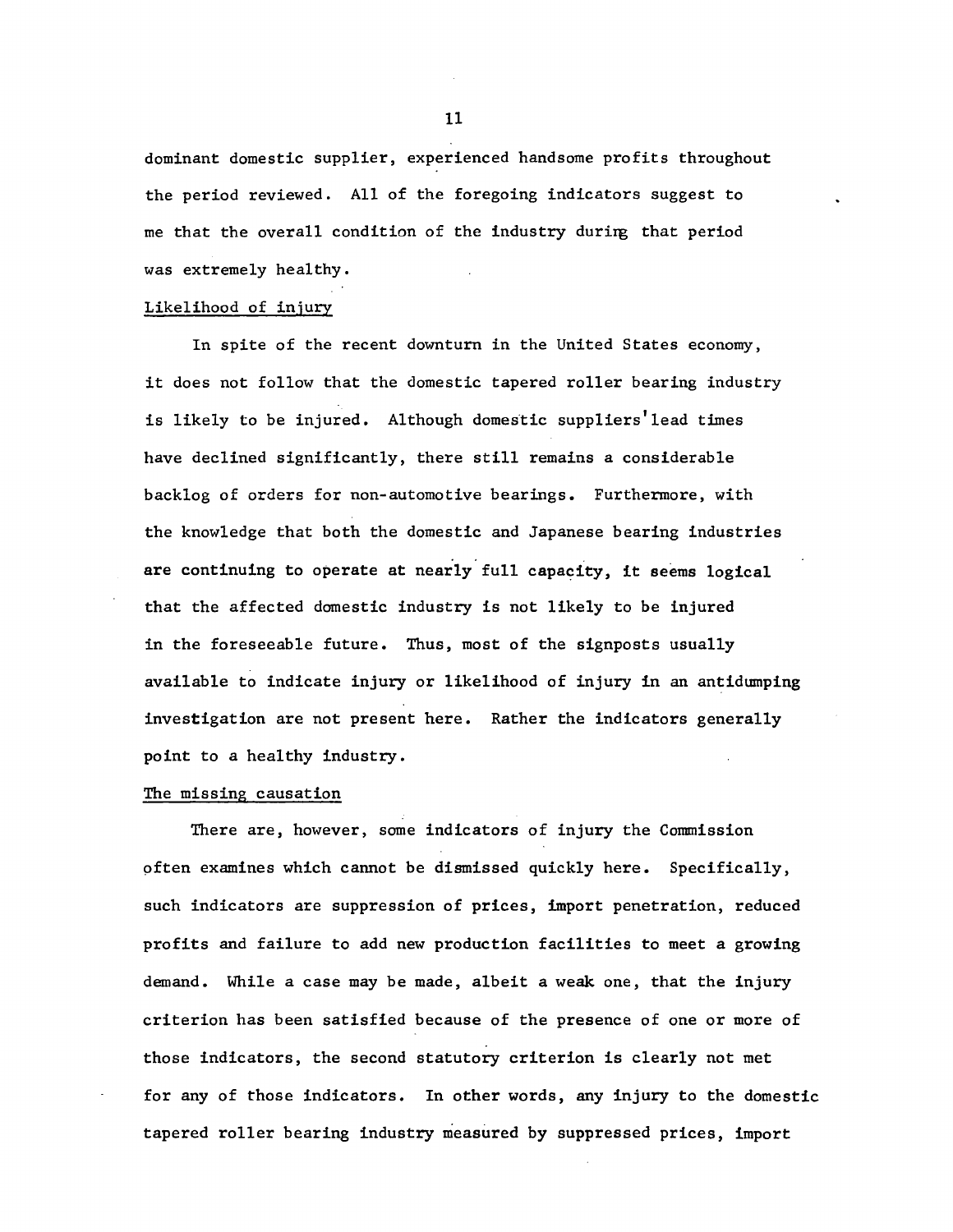dominant domestic supplier, experienced handsome profits throughout the period reviewed. All of the foregoing indicators suggest to me that the overall condition of the industry durirg that period was extremely healthy.

#### Likelihood of injury

In spite of the recent downturn in the United States economy, it does not follow that the domestic tapered roller bearing industry is likely to be injured. Although domestic suppliers'lead times have declined significantly, there still remains a considerable backlog of orders for non-automotive bearings. Furthermore, with the knowledge that both the domestic and Japanese bearing industries are continuing to operate at nearly full capacity, it seems logical that the affected domestic industry is not likely to be injured in the foreseeable future. Thus, most of the signposts usually available to indicate injury or likelihood of injury in an antidumping investigation are not present here. Rather the indicators generally point to a healthy industry.

#### The missing causation

There are, however, some indicators of injury the Commission pften examines which cannot be dismissed quickly here. Specifically, such indicators are suppression of prices, import penetration, reduced profits and failure to add new production facilities to meet a growing demand. While a case may be made, albeit a weak one, that the injury criterion has been satisfied because of the presence of one or more of those indicators, the second statutory criterion is clearly not met for any of those indicators. In other words, any injury to the domestic tapered roller bearing industry measured by suppressed prices, import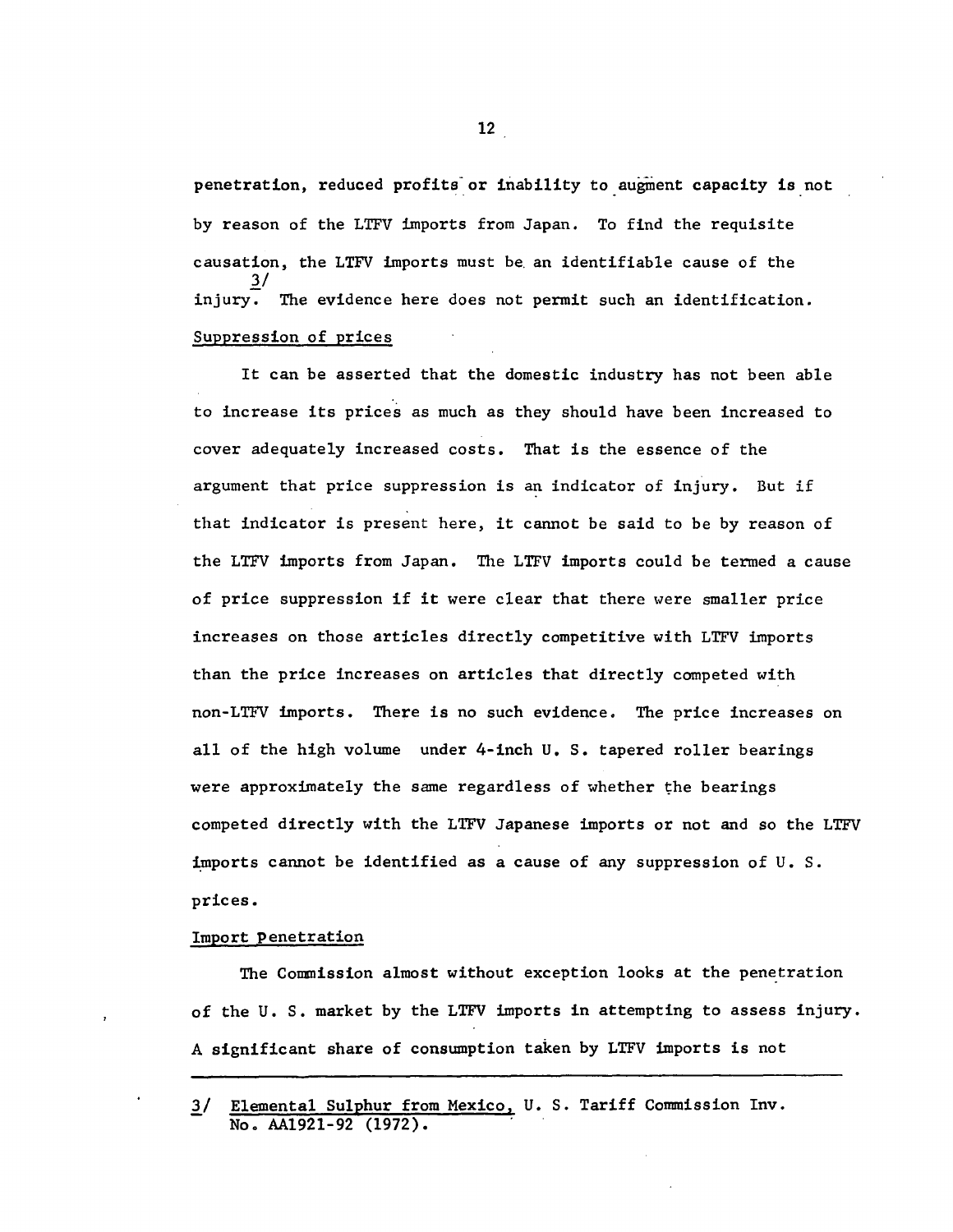penetration, reduced profits or inability to augment capacity is not by reason of the LTFV imports from Japan. To find the requisite causation, the LTFV imports must be. an identifiable cause of the  $\overline{3}/$ injury. The evidence here does not permit such an identification. Suppression of prices

It can be asserted that the domestic industry has not been able to increase its prices as much as they should have been increased to cover adequately increased costs. That is the essence of the argument that price suppression is an indicator of injury. But if that indicator is present here, it cannot be said to be by reason of the LTFV imports from Japan. The LTFV imports could be termed a cause of price suppression if it were clear that there were smaller price increases on those articles directly competitive with LTFV imports than the price increases on articles that directly competed with non-LTFV imports. There is no such evidence. The price increases on all of the high volume under 4-inch U. S. tapered roller bearings were approximately the same regardless of whether the bearings competed directly with the LTFV Japanese imports or not and so the LTFV imports cannot be identified as a cause of any suppression of  $U$ . S. prices.

#### Import penetration

The Commission almost without exception looks at the penetration of the U. s. market by the LTFV imports in attempting to assess injury. A significant share of consumption taken by LTFV imports is not

<sup>3/</sup> Elemental Sulphur from Mexico, U.S. Tariff Commission Inv. No. AA1921-92 (1972).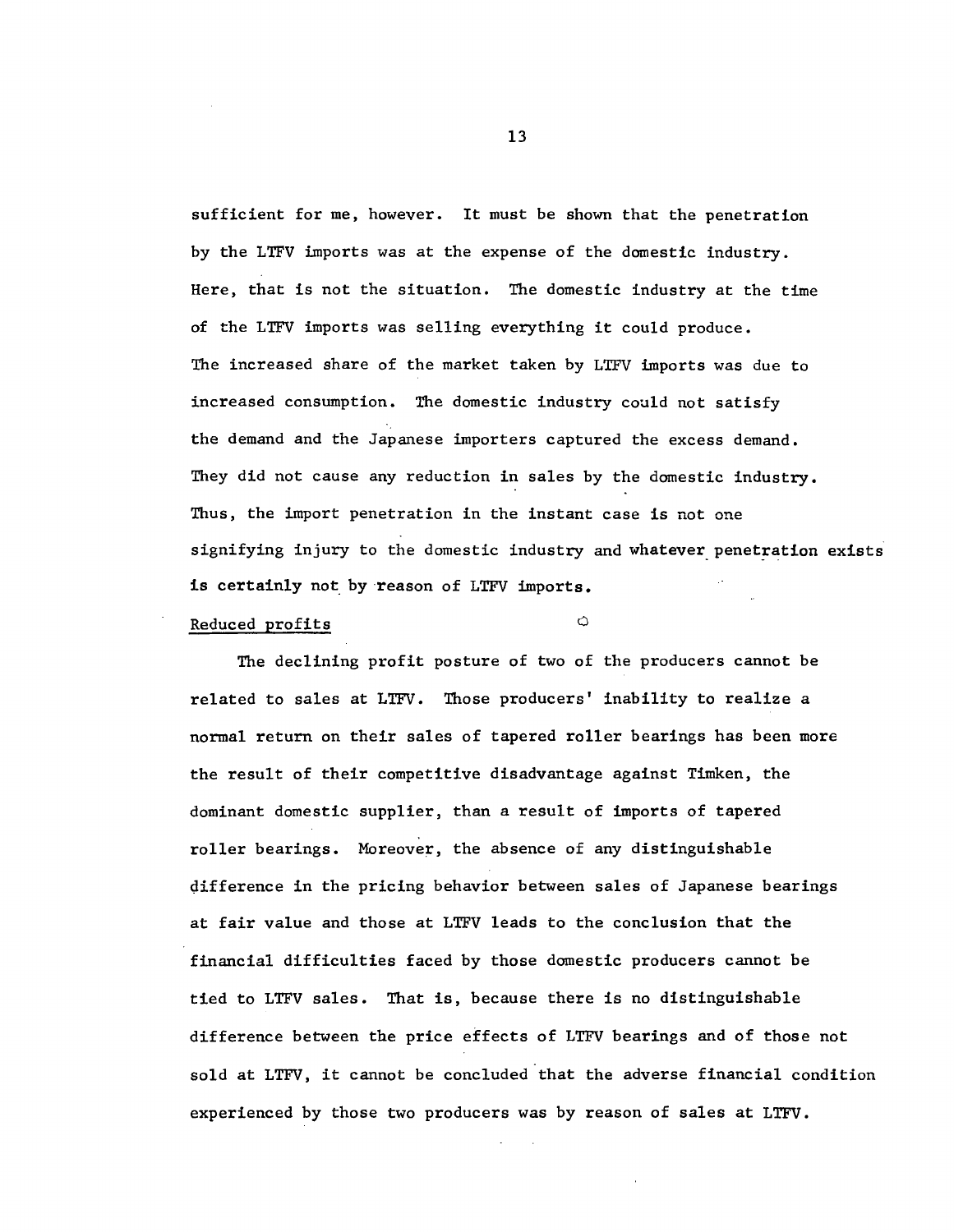sufficient for me, however. It must be shown that the penetration by the LTFV imports was at the expense of the domestic industry. Here, that is not the situation. The domestic industry at the time of the LTFV imports was selling everything it could produce. The increased share of the market taken by LTFV imports was due to increased consumption. The domestic industry could not satisfy the demand and the Japanese importers captured the excess demand. They did not cause any reduction in sales by the domestic industry. Thus, the import penetration in the instant case is not one signifying injury to the domestic industry and whatever penetration exists is certainly not by reason of LTFV imports.

# Reduced profits  $\bigcirc$

The declining profit posture of two of the producers cannot be related to sales at LTFV. Those producers' inability to realize a normal return on their sales of tapered roller bearings has been more the result of their competitive disadvantage against Timken, the dominant domestic supplier, than a result of imports of tapered roller bearings. Moreover, the absence of any distinguishable difference in the pricing behavior between sales of Japanese bearings at fair value and those at LTFV leads to the conclusion that the financial difficulties faced by those domestic producers cannot be tied to LTFV sales. That is, because there is no distinguishable difference between the price effects of LTFV bearings and of those not sold at LTFV, it cannot be concluded that the adverse financial condition experienced by those two producers was by reason of sales at LTFV.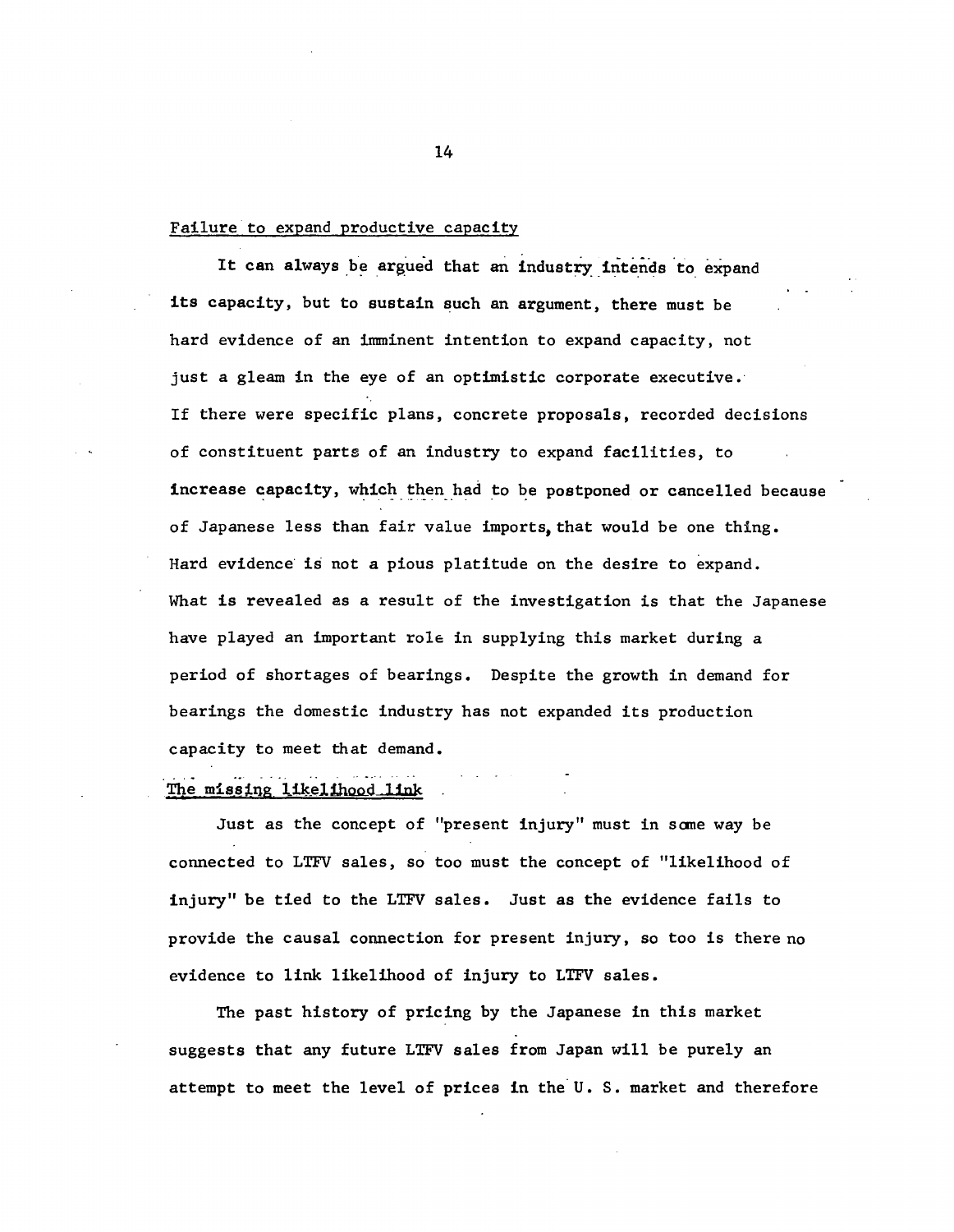#### Failure to expand productive capacity

It can always be argued that an industry intends to expand its capacity, but to sustain such an argument, there must be hard evidence of an imminent intention to expand capacity, not just a gleam in the eye of an optimistic corporate executive. If there were specific plans, concrete proposals, recorded decisions of constituent parts of an industry to expand facilities, to increase capacity, which then had to be postponed or cancelled because of Japanese less than fair value imports, that would be one thing. Hard evidence is not a pious platitude on the desire to expand. What is revealed as a result of the investigation is that the Japanese have played an important rol6 in supplying this market during a period of shortages of bearings. Despite the growth in demand for bearings the domestic industry has not expanded its production capacity to meet that demand.

#### The missing likelihood link

Just as the concept of "present injury" must in sane way be connected to LTFV sales, so too must the concept of "likelihood of injury" be tied to the LTFV sales. Just as the evidence fails to provide the causal connection for present injury, so too is there no evidence to link likelihood of injury to LTFV sales.

The past history of pricing by the Japanese in this market suggests that any future LTFV sales from Japan will be purely an attempt to meet the level of prices in the U.S. market and therefore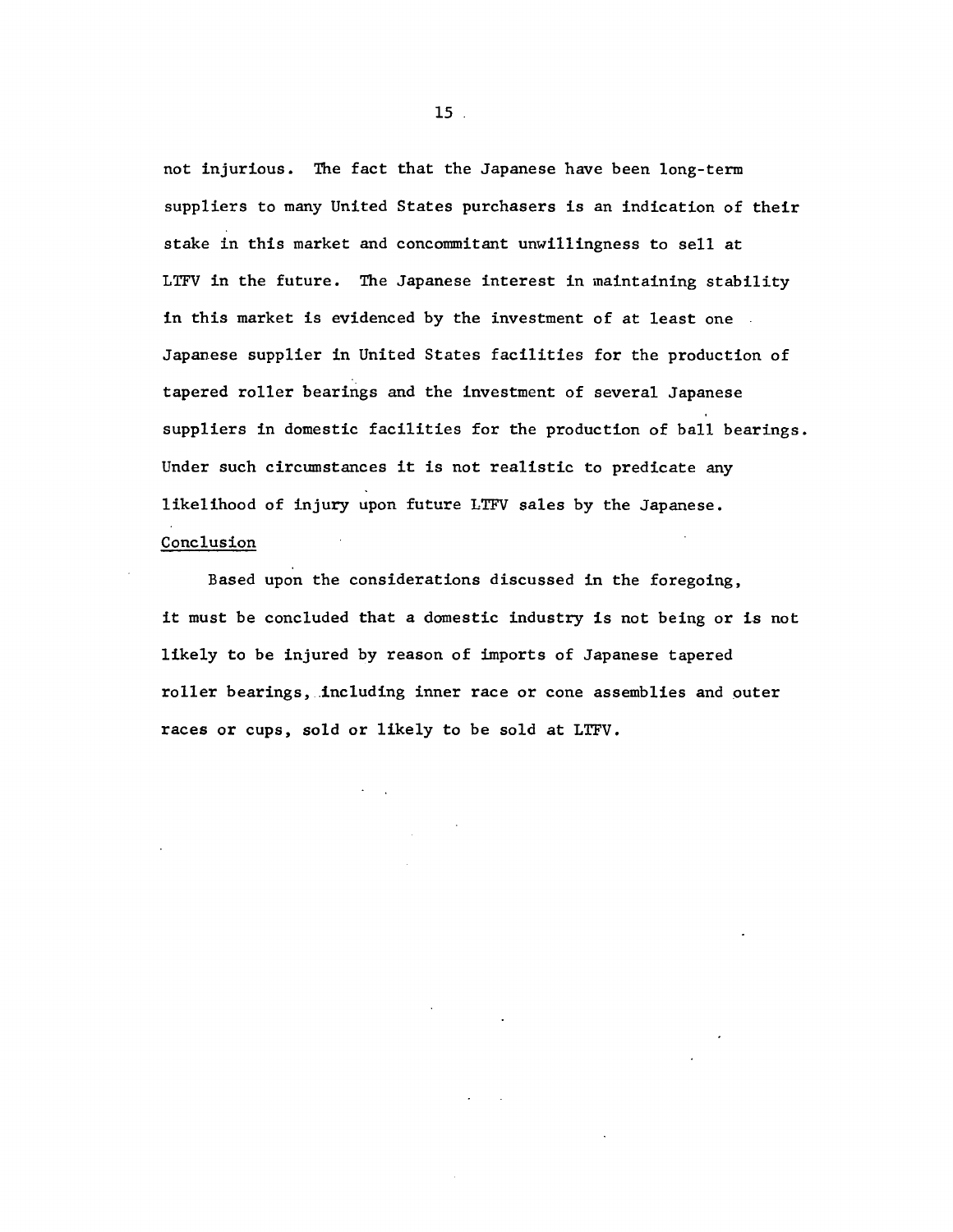not injurious. The fact that the Japanese have been long-term suppliers to many United States purchasers is an indication of their stake in this market and concommitant unwillingness to sell at LTFV in the future. The Japanese interest in maintaining stability in this market is evidenced by the investment of at least one Japanese supplier in United States facilities for the production of tapered roller bearings and the investment of several Japanese suppliers in domestic facilities for the production of ball bearings. Under such circumstances it is not realistic to predicate any likelihood of injury upon future LTFV sales by the Japanese. Conclusion

Based upon the considerations discussed in the foregoing, it must be concluded that a domestic industry is not being or is not likely to be injured by reason of imports of Japanese tapered roller bearings, .including inner race or cone assemblies and outer races or cups, sold or likely to be sold at LTFV.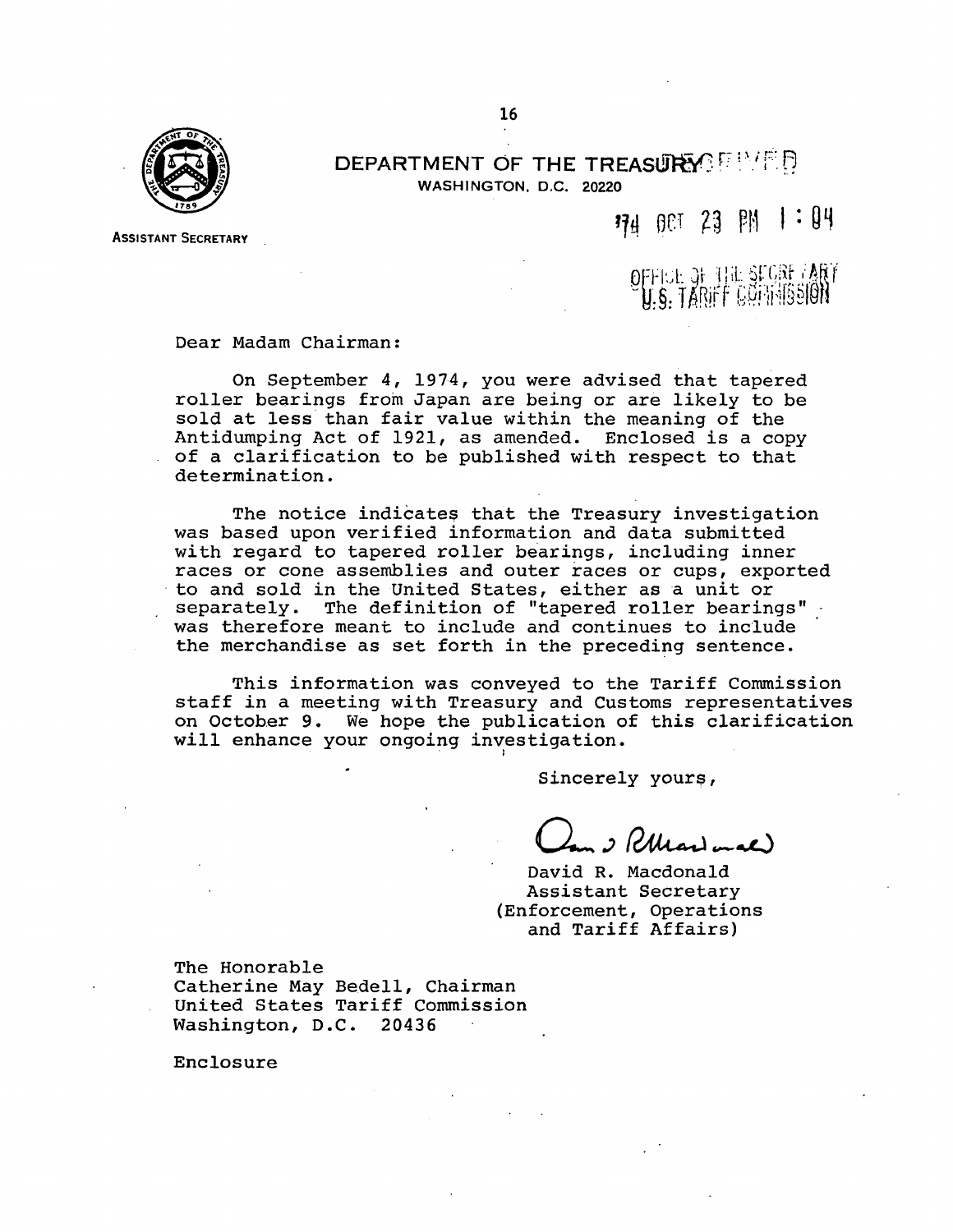

ASSISTANT SECRETARY

DEPARTMENT OF THE TREASURY FRACTED WASHINGTON, D.C. 20220

#### 74 001 23 PM  $1:04$

 $\rm O$ FFIGE OF THE SEGRE ARY **9 1. S. TARIFF CGI: 15SIGN** 

Dear Madam Chairman:

On September 4, 1974, you were advised that tapered roller bearings from Japan are being or are likely to be sold at less than fair value within the meaning of the Antidumping Act of 1921, as amended. Enclosed is a copy of a clarification to be published with respect to that determination.

The notice indicates that the Treasury investigation was based upon verified information and data submitted with regard to tapered roller bearings, including inner races or cone assemblies and outer races or cups, exported to and sold in the United States, either as a unit or separately. The definition of "tapered roller bearings" was therefore meant to include and continues to include the merchandise as set forth in the preceding sentence.

This information was conveyed to the Tariff Commission staff in a meeting with Treasury and Customs representatives on October 9. We hope the publication of this clarification will enhance your ongoing investigation.

Sincerely youre,

I Pluginal

David R. Macdonald Assistant Secretary (Enforcement, Operations and Tariff Affairs)

The Honorable Catherine May Bedell, Chairman

United States Tariff Commission Washington, D.C. 20436

Enclosure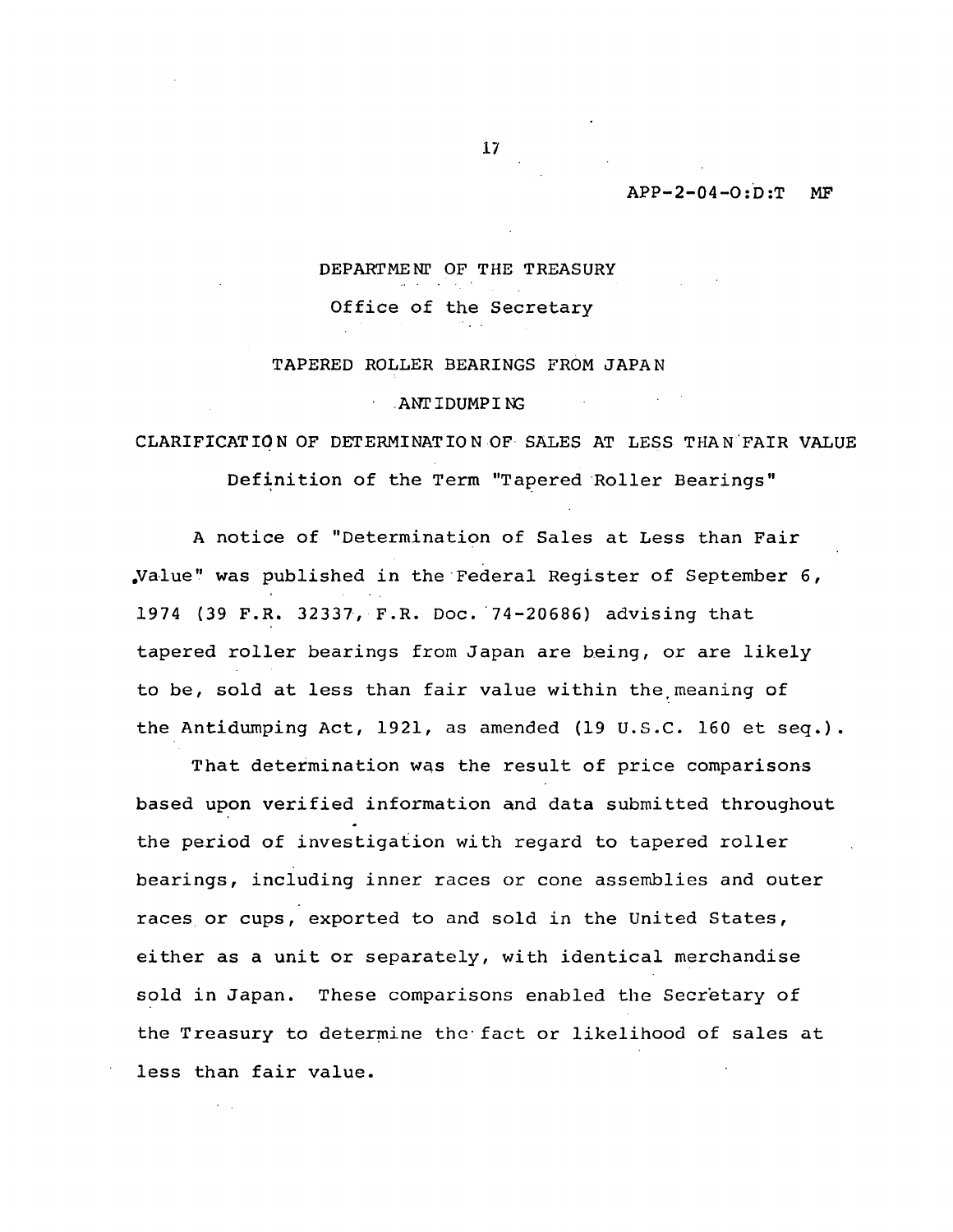#### $APP-2-04-0:D:T$  MF

# DEPARTMENI' OF THE TREASURY

Office of the Secretary

#### TAPERED ROLLER BEARINGS FROM JAPAN

#### .ANI'IDUMPI N;

# CLARIFICATION OF DETERMINATION OF SALES AT LESS THAN.FAIR VALUE

Definition of the Term "Tapered Roller Bearings"

A notice of "Determination of Sales at Less than Fair .Value'' was published in the ·Federal Register of September 6, 1974 (39 F.R. 32337, F.R. Doc. '74-20686) advising that tapered roller bearings from Japan are being, or are likely to be, sold at less than fair value within the meaning of the Antidumping Act, 1921, as amended (19 U.S.C. 160 et seq.).

That determination was the result of price comparisons based upon verified information and data submitted throughout the period of investigation with regard to tapered roller bearings, including inner races or cone assemblies and outer races or cups, exported to and sold in the United States, either as a unit or separately, with identical merchandise sold in Japan. These comparisons enabled the Secretary of the Treasury to determine the fact or likelihood of sales at less than fair value.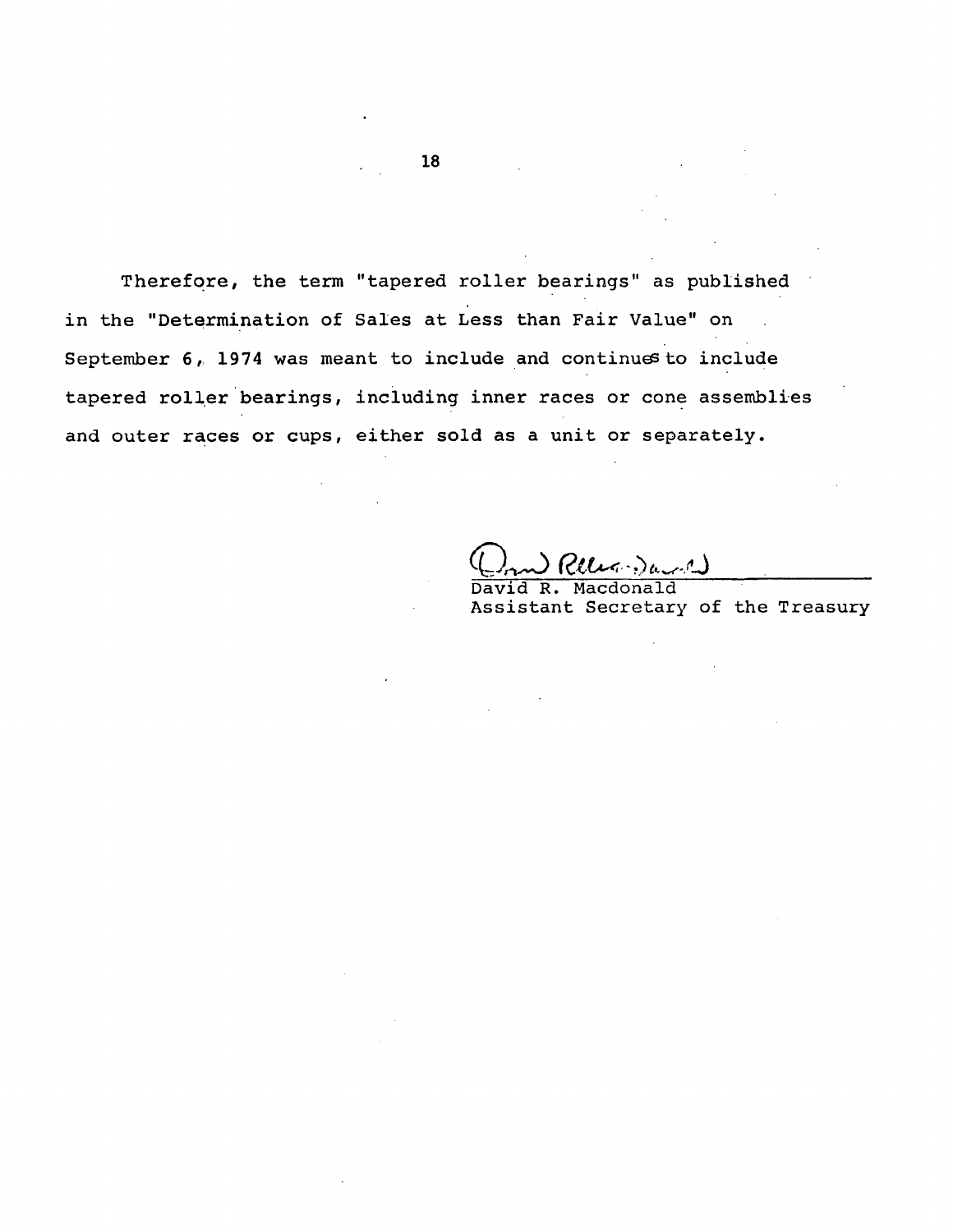Therefore, the term "tapered roller bearings" as published in the "Determination of Sales at Less than Fair Value" on September  $6$ , 1974 was meant to include and continues to include tapered roller bearings, including inner races or cone assemblies and outer races or cups, either sold as a unit or separately.

(میں میں (میں (میں)

David R. Macdonald Assistant Secretary of the Treasury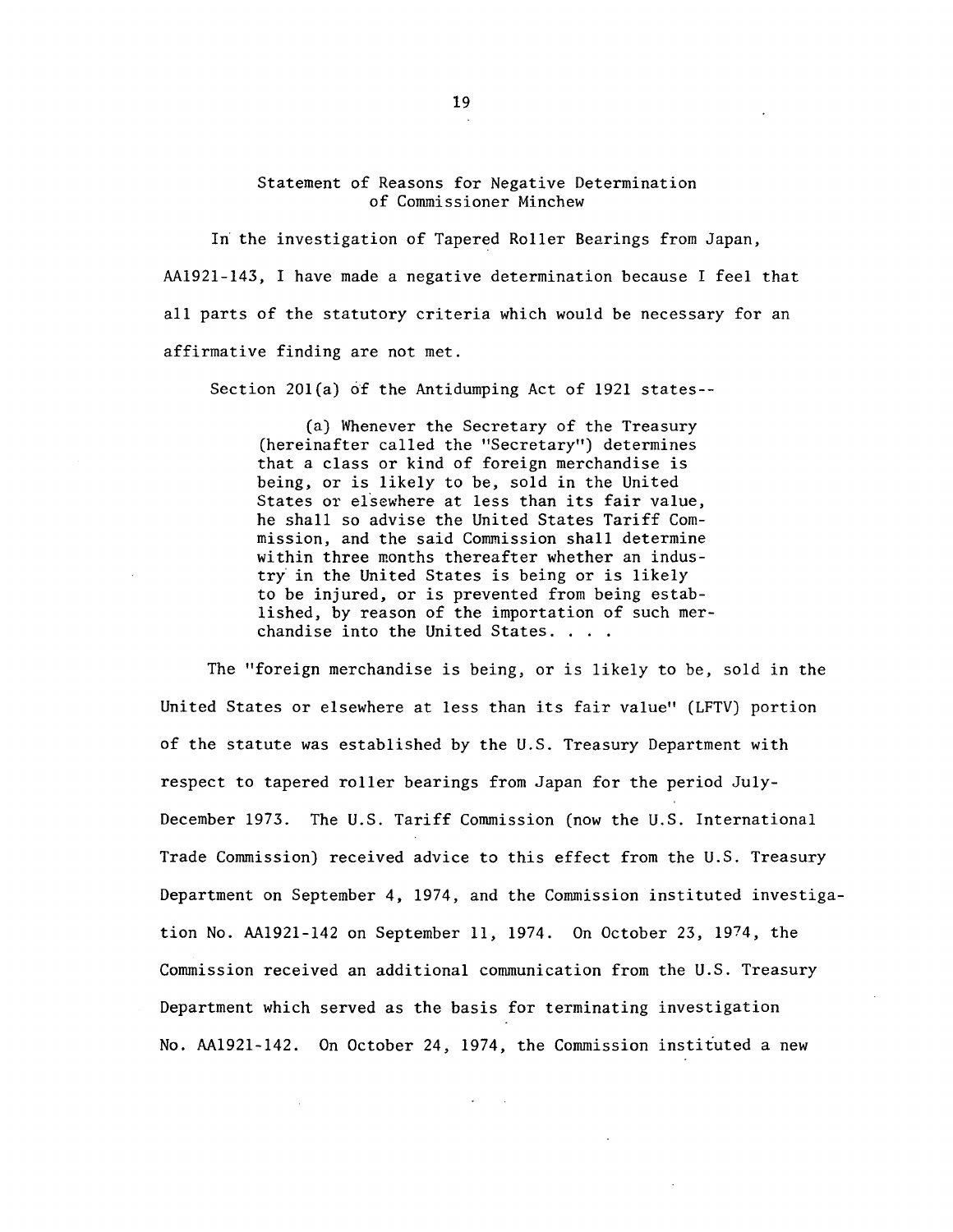#### Statement of Reasons for Negative Determination of Commissioner Minchew

In the investigation of Tapered Roller Bearings from Japan, AA1921-143, I have made a negative determination because I feel that all parts of the statutory criteria which would be necessary for an affirmative finding are not met.

Section 20l(a) of the Antidumping Act of 1921 states--

(a) Whenever the Secretary of the Treasury (hereinafter called the "Secretary") determines that a class or kind of foreign merchandise is being, or is likely to be, sold in the United States or elsewhere at less than its fair value, he shall so advise the United States Tariff Commission, and the said Commission shall determine within three months thereafter whether an industry in the United States is being or is likely to be injured, or is prevented from being established, by reason of the importation of such merchandise into the United States. . . .

The "foreign merchandise is being, or is likely to be, sold in the United States or elsewhere at less than its fair value" (LFTV) portion of the statute was established by the U.S. Treasury Department with respect to tapered roller bearings from Japan for the period July-December 1973. The U.S. Tariff Commission (now the U.S. International Trade Commission) received advice to this effect from the U.S. Treasury Department on September 4, 1974, and the Commission instituted investigation No. AA1921-142 on September 11, 1974. On October 23, 1974, the Commission received an additional communication from the U.S. Treasury Department which served as the basis for terminating investigation No. AA1921-142. On October 24, 1974, the Commission instituted a new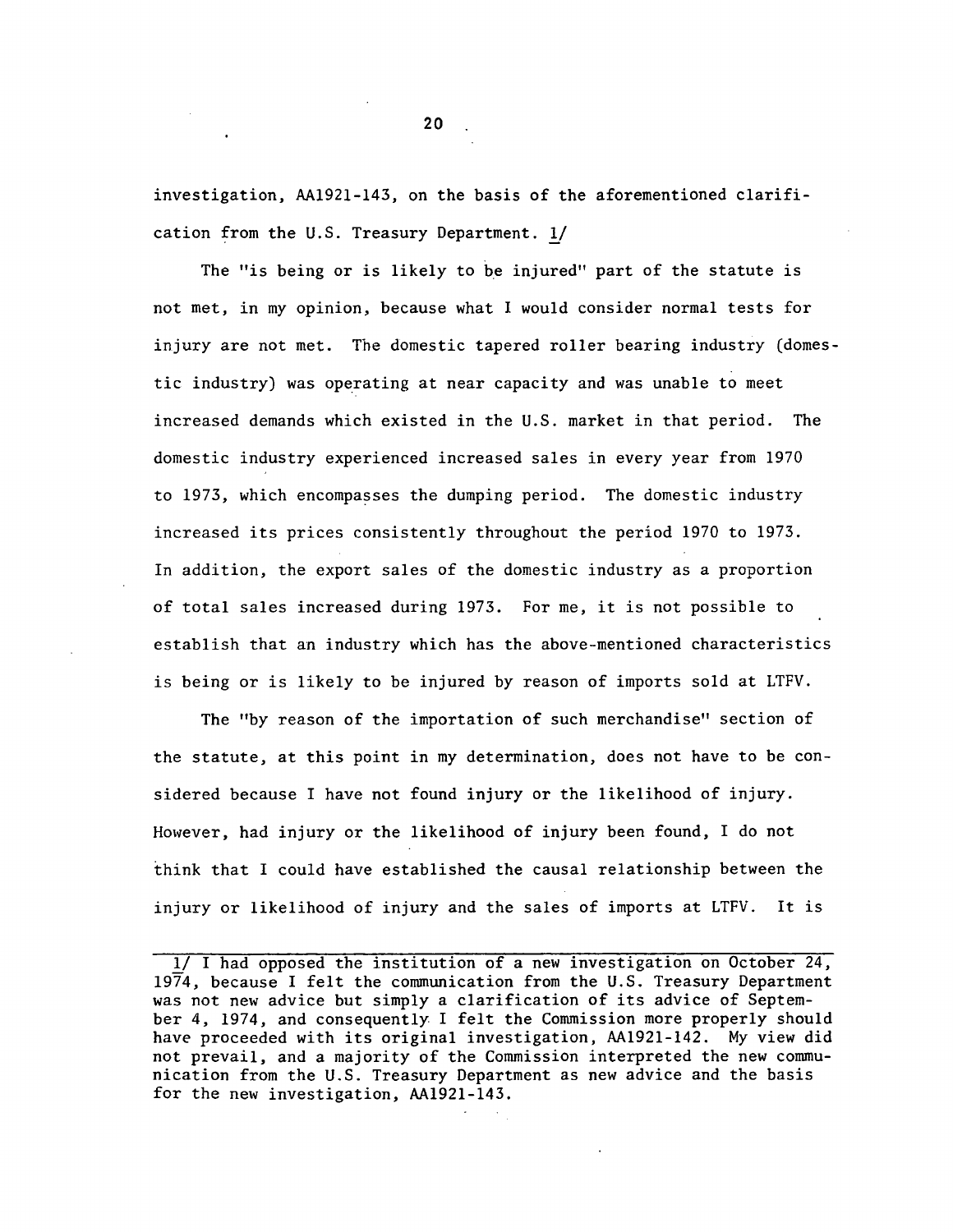investigation, AA1921-143, on the basis of the aforementioned clarification from the U.S. Treasury Department. !/

The "is being or is likely to be injured" part of the statute is not met, in my opinion, because what I would consider normal tests for injury are not met. The domestic tapered roller bearing industry (domestic industry) was operating at near capacity and was unable to meet increased demands which existed in the U.S. market in that period. The domestic industry experienced increased sales in every year from 1970 to 1973, which encompasses the dumping period. The domestic industry increased its prices consistently throughout the period 1970 to 1973. In addition, the export sales of the domestic industry as a proportion of total sales increased during 1973. For me, it is not possible to establish that an industry which has the above-mentioned characteristics is being or is likely to be injured by reason of imports sold at LTFV.

The "by reason of the importation of such merchandise" section of the statute, at this point in my determination, does not have to be considered because I have not found injury or the likelihood of injury. However, had injury or the likelihood of injury been found, I do not think that I could have established the causal relationship between the injury or likelihood of injury and the sales of imports at LTFV. It is

<sup>1/</sup> I had opposed the institution of a new investigation on October 24, 1974, because I felt the communication from the U.S. Treasury Department was not new advice but simply a clarification of its advice of September 4, 1974, and consequently I felt the Commission more properly should have proceeded with its original investigation, AA1921-142. My view did not prevail, and a majority of the Commission interpreted the new communication from the U.S. Treasury Department as new advice and the basis for the new investigation, AA1921-143.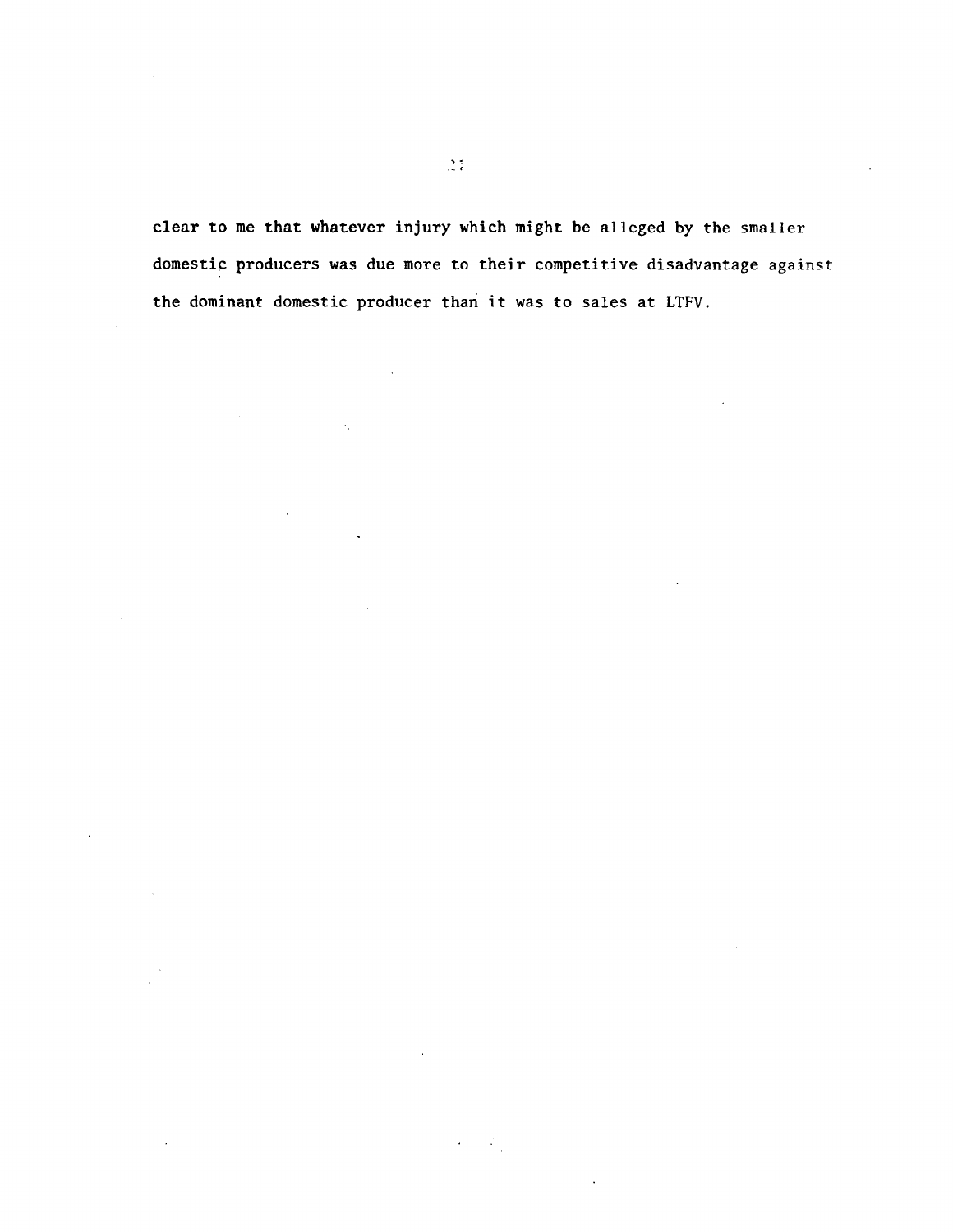clear to me that whatever injury which might be alleged by the smaller domestic producers was due more to their competitive disadvantage against the dominant domestic producer than it was to sales at LTFV.

 $\mathcal{L} = \mathcal{L}_1$ 

 $\hat{\mathbf{r}}_i$